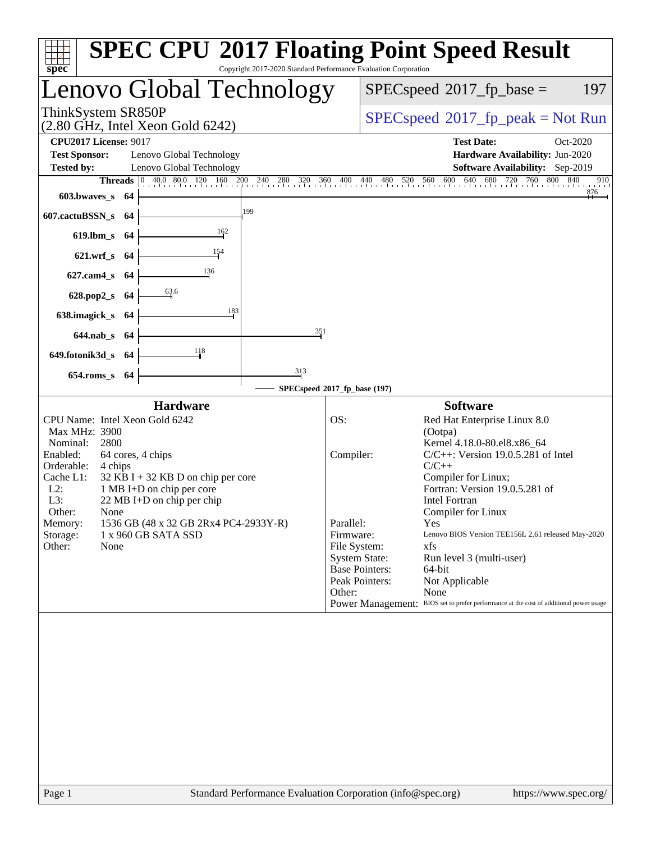| Copyright 2017-2020 Standard Performance Evaluation Corporation<br>$spec^*$                                                                                                                                                                                                                                                                                                                                            | <b>SPEC CPU®2017 Floating Point Speed Result</b>                                                                                                                                                                                                                                                                                                                                                                                                                                                                                                                                                                              |
|------------------------------------------------------------------------------------------------------------------------------------------------------------------------------------------------------------------------------------------------------------------------------------------------------------------------------------------------------------------------------------------------------------------------|-------------------------------------------------------------------------------------------------------------------------------------------------------------------------------------------------------------------------------------------------------------------------------------------------------------------------------------------------------------------------------------------------------------------------------------------------------------------------------------------------------------------------------------------------------------------------------------------------------------------------------|
| enovo Global Technology                                                                                                                                                                                                                                                                                                                                                                                                | $SPEC speed^{\circ}2017$ _fp_base =<br>197                                                                                                                                                                                                                                                                                                                                                                                                                                                                                                                                                                                    |
| ThinkSystem SR850P<br>$(2.80 \text{ GHz}, \text{Intel Xeon Gold } 6242)$                                                                                                                                                                                                                                                                                                                                               | $SPEC speed^{\circ}2017\_fp\_peak = Not Run$                                                                                                                                                                                                                                                                                                                                                                                                                                                                                                                                                                                  |
| <b>CPU2017 License: 9017</b><br><b>Test Sponsor:</b><br>Lenovo Global Technology<br>Lenovo Global Technology<br><b>Tested by:</b><br><b>Threads</b> 0 40.0 80.0 120 160 200 240 280 320 360 400 440 480 520 560 600 640<br>603.bwaves_s 64                                                                                                                                                                             | <b>Test Date:</b><br>Oct-2020<br>Hardware Availability: Jun-2020<br>Software Availability: Sep-2019<br>680 720 760 800 840<br>910<br>876                                                                                                                                                                                                                                                                                                                                                                                                                                                                                      |
| 199<br>607.cactuBSSN_s 64<br>162<br>619.lbm_s 64<br>154<br>621.wrf_s 64<br>136                                                                                                                                                                                                                                                                                                                                         |                                                                                                                                                                                                                                                                                                                                                                                                                                                                                                                                                                                                                               |
| 627.cam4 s 64<br>$\frac{63.6}{9}$<br>628.pop2_s 64<br>183<br>638.imagick_s 64<br>351<br>644.nab_s 64<br>118<br>649.fotonik3d_s 64<br>313<br>654.roms_s 64                                                                                                                                                                                                                                                              | SPECspeed®2017_fp_base (197)                                                                                                                                                                                                                                                                                                                                                                                                                                                                                                                                                                                                  |
| <b>Hardware</b><br>CPU Name: Intel Xeon Gold 6242<br>Max MHz: 3900<br>Nominal:<br>2800<br>Enabled:<br>64 cores, 4 chips<br>Orderable:<br>4 chips<br>Cache L1:<br>$32$ KB I + 32 KB D on chip per core<br>$L2$ :<br>1 MB I+D on chip per core<br>L3:<br>$22 \text{ MB I+D}$ on chip per chip<br>Other:<br>None<br>1536 GB (48 x 32 GB 2Rx4 PC4-2933Y-R)<br>Memory:<br>Storage:<br>1 x 960 GB SATA SSD<br>Other:<br>None | <b>Software</b><br>OS:<br>Red Hat Enterprise Linux 8.0<br>(Ootpa)<br>Kernel 4.18.0-80.el8.x86_64<br>$C/C++$ : Version 19.0.5.281 of Intel<br>Compiler:<br>$C/C++$<br>Compiler for Linux;<br>Fortran: Version 19.0.5.281 of<br><b>Intel Fortran</b><br>Compiler for Linux<br>Parallel:<br>Yes<br>Firmware:<br>Lenovo BIOS Version TEE156L 2.61 released May-2020<br>File System:<br>xfs<br><b>System State:</b><br>Run level 3 (multi-user)<br><b>Base Pointers:</b><br>64-bit<br>Peak Pointers:<br>Not Applicable<br>Other:<br>None<br>Power Management: BIOS set to prefer performance at the cost of additional power usage |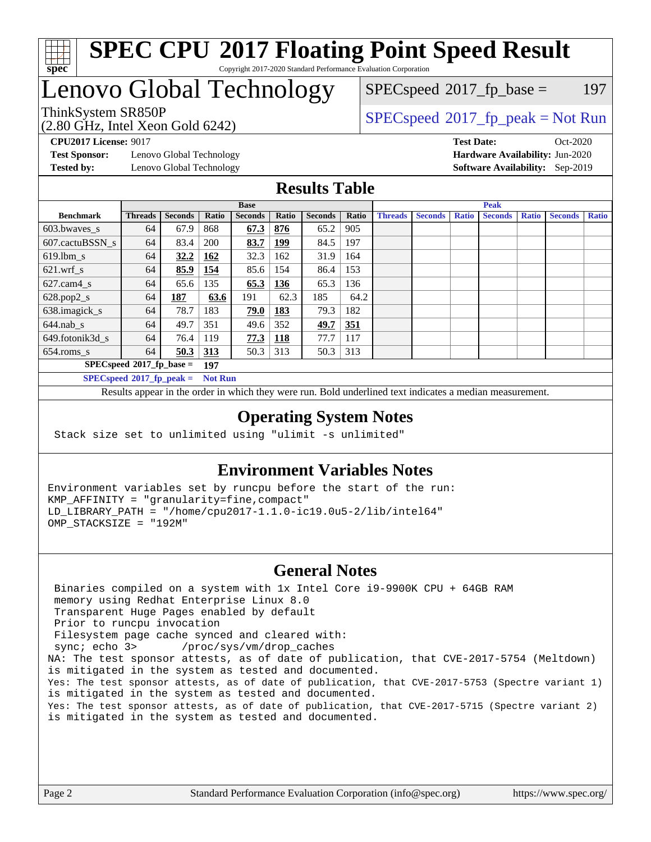

#### **[SPEC CPU](http://www.spec.org/auto/cpu2017/Docs/result-fields.html#SPECCPU2017FloatingPointSpeedResult)[2017 Floating Point Speed Result](http://www.spec.org/auto/cpu2017/Docs/result-fields.html#SPECCPU2017FloatingPointSpeedResult)** Copyright 2017-2020 Standard Performance Evaluation Corporation

## Lenovo Global Technology

(2.80 GHz, Intel Xeon Gold 6242)

 $SPECspeed^{\circledcirc}2017_fp\_base = 197$  $SPECspeed^{\circledcirc}2017_fp\_base = 197$ 

ThinkSystem SR850P<br>  $(2.80 \text{ GHz. Intel Yoon Gold } 6242)$   $SPEC speed^{\circ}2017\_fp\_peak = Not Run$ 

**[Test Sponsor:](http://www.spec.org/auto/cpu2017/Docs/result-fields.html#TestSponsor)** Lenovo Global Technology **[Hardware Availability:](http://www.spec.org/auto/cpu2017/Docs/result-fields.html#HardwareAvailability)** Jun-2020 **[Tested by:](http://www.spec.org/auto/cpu2017/Docs/result-fields.html#Testedby)** Lenovo Global Technology **[Software Availability:](http://www.spec.org/auto/cpu2017/Docs/result-fields.html#SoftwareAvailability)** Sep-2019

**[CPU2017 License:](http://www.spec.org/auto/cpu2017/Docs/result-fields.html#CPU2017License)** 9017 **[Test Date:](http://www.spec.org/auto/cpu2017/Docs/result-fields.html#TestDate)** Oct-2020

### **[Results Table](http://www.spec.org/auto/cpu2017/Docs/result-fields.html#ResultsTable)**

|                                    | <b>Base</b>    |                |                | <b>Peak</b>    |            |                |            |                |                |              |                |              |                |              |
|------------------------------------|----------------|----------------|----------------|----------------|------------|----------------|------------|----------------|----------------|--------------|----------------|--------------|----------------|--------------|
| <b>Benchmark</b>                   | <b>Threads</b> | <b>Seconds</b> | Ratio          | <b>Seconds</b> | Ratio      | <b>Seconds</b> | Ratio      | <b>Threads</b> | <b>Seconds</b> | <b>Ratio</b> | <b>Seconds</b> | <b>Ratio</b> | <b>Seconds</b> | <b>Ratio</b> |
| $603.bwaves$ s                     | 64             | 67.9           | 868            | 67.3           | 876        | 65.2           | 905        |                |                |              |                |              |                |              |
| 607.cactuBSSN s                    | 64             | 83.4           | 200            | 83.7           | <u>199</u> | 84.5           | 197        |                |                |              |                |              |                |              |
| $619.1$ bm s                       | 64             | 32.2           | 162            | 32.3           | 162        | 31.9           | 164        |                |                |              |                |              |                |              |
| $621$ .wrf s                       | 64             | 85.9           | 154            | 85.6           | 154        | 86.4           | 153        |                |                |              |                |              |                |              |
| $627$ .cam4 s                      | 64             | 65.6           | 135            | 65.3           | 136        | 65.3           | 136        |                |                |              |                |              |                |              |
| $628.pop2_s$                       | 64             | 187            | 63.6           | 191            | 62.3       | 185            | 64.2       |                |                |              |                |              |                |              |
| 638.imagick_s                      | 64             | 78.7           | 183            | 79.0           | 183        | 79.3           | 182        |                |                |              |                |              |                |              |
| $644$ .nab s                       | 64             | 49.7           | 351            | 49.6           | 352        | <u>49.7</u>    | <u>351</u> |                |                |              |                |              |                |              |
| 649.fotonik3d s                    | 64             | 76.4           | 119            | 77.3           | <u>118</u> | 77.7           | 117        |                |                |              |                |              |                |              |
| $654$ .roms s                      | 64             | 50.3           | 313            | 50.3           | 313        | 50.3           | 313        |                |                |              |                |              |                |              |
| $SPECspeed*2017_fp\_base =$<br>197 |                |                |                |                |            |                |            |                |                |              |                |              |                |              |
| $SPECspeed*2017_fp\_peak =$        |                |                | <b>Not Run</b> |                |            |                |            |                |                |              |                |              |                |              |

Results appear in the [order in which they were run.](http://www.spec.org/auto/cpu2017/Docs/result-fields.html#RunOrder) Bold underlined text [indicates a median measurement](http://www.spec.org/auto/cpu2017/Docs/result-fields.html#Median).

#### **[Operating System Notes](http://www.spec.org/auto/cpu2017/Docs/result-fields.html#OperatingSystemNotes)**

Stack size set to unlimited using "ulimit -s unlimited"

### **[Environment Variables Notes](http://www.spec.org/auto/cpu2017/Docs/result-fields.html#EnvironmentVariablesNotes)**

Environment variables set by runcpu before the start of the run: KMP\_AFFINITY = "granularity=fine,compact" LD\_LIBRARY\_PATH = "/home/cpu2017-1.1.0-ic19.0u5-2/lib/intel64" OMP\_STACKSIZE = "192M"

#### **[General Notes](http://www.spec.org/auto/cpu2017/Docs/result-fields.html#GeneralNotes)**

 Binaries compiled on a system with 1x Intel Core i9-9900K CPU + 64GB RAM memory using Redhat Enterprise Linux 8.0 Transparent Huge Pages enabled by default Prior to runcpu invocation Filesystem page cache synced and cleared with: sync; echo 3> /proc/sys/vm/drop\_caches NA: The test sponsor attests, as of date of publication, that CVE-2017-5754 (Meltdown) is mitigated in the system as tested and documented. Yes: The test sponsor attests, as of date of publication, that CVE-2017-5753 (Spectre variant 1) is mitigated in the system as tested and documented. Yes: The test sponsor attests, as of date of publication, that CVE-2017-5715 (Spectre variant 2) is mitigated in the system as tested and documented.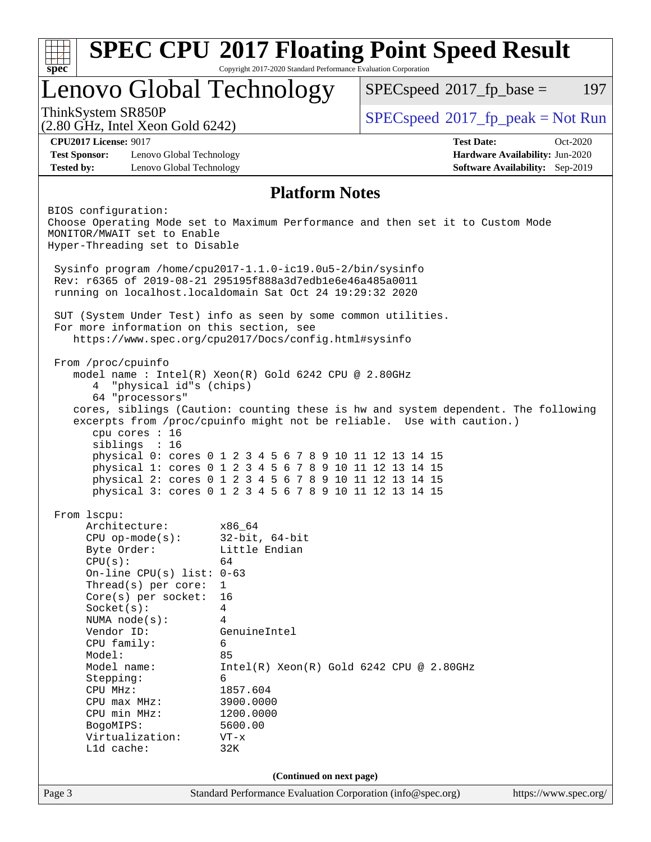| <b>SPEC CPU®2017 Floating Point Speed Result</b><br>Copyright 2017-2020 Standard Performance Evaluation Corporation<br>$spec^*$ |                                                                                                                    |                                                                                    |                                        |  |  |
|---------------------------------------------------------------------------------------------------------------------------------|--------------------------------------------------------------------------------------------------------------------|------------------------------------------------------------------------------------|----------------------------------------|--|--|
| Lenovo Global Technology                                                                                                        |                                                                                                                    | $SPEC speed^{\circledcirc}2017$ fp base =                                          | 197                                    |  |  |
| ThinkSystem SR850P<br>$(2.80 \text{ GHz}, \text{Intel Xeon Gold } 6242)$                                                        |                                                                                                                    | $SPEC speed^{\circ}2017\_fp\_peak = Not Run$                                       |                                        |  |  |
| <b>CPU2017 License: 9017</b>                                                                                                    |                                                                                                                    | <b>Test Date:</b>                                                                  | Oct-2020                               |  |  |
| <b>Test Sponsor:</b><br>Lenovo Global Technology                                                                                |                                                                                                                    |                                                                                    | Hardware Availability: Jun-2020        |  |  |
| <b>Tested by:</b><br>Lenovo Global Technology                                                                                   |                                                                                                                    |                                                                                    | <b>Software Availability:</b> Sep-2019 |  |  |
|                                                                                                                                 | <b>Platform Notes</b>                                                                                              |                                                                                    |                                        |  |  |
| BIOS configuration:                                                                                                             |                                                                                                                    |                                                                                    |                                        |  |  |
| Choose Operating Mode set to Maximum Performance and then set it to Custom Mode                                                 |                                                                                                                    |                                                                                    |                                        |  |  |
| MONITOR/MWAIT set to Enable<br>Hyper-Threading set to Disable                                                                   |                                                                                                                    |                                                                                    |                                        |  |  |
| Sysinfo program /home/cpu2017-1.1.0-ic19.0u5-2/bin/sysinfo                                                                      |                                                                                                                    |                                                                                    |                                        |  |  |
| Rev: r6365 of 2019-08-21 295195f888a3d7edble6e46a485a0011                                                                       |                                                                                                                    |                                                                                    |                                        |  |  |
| running on localhost.localdomain Sat Oct 24 19:29:32 2020                                                                       |                                                                                                                    |                                                                                    |                                        |  |  |
|                                                                                                                                 |                                                                                                                    |                                                                                    |                                        |  |  |
| SUT (System Under Test) info as seen by some common utilities.<br>For more information on this section, see                     |                                                                                                                    |                                                                                    |                                        |  |  |
| https://www.spec.org/cpu2017/Docs/config.html#sysinfo                                                                           |                                                                                                                    |                                                                                    |                                        |  |  |
|                                                                                                                                 |                                                                                                                    |                                                                                    |                                        |  |  |
| From /proc/cpuinfo                                                                                                              |                                                                                                                    |                                                                                    |                                        |  |  |
| model name : Intel(R) Xeon(R) Gold 6242 CPU @ 2.80GHz                                                                           |                                                                                                                    |                                                                                    |                                        |  |  |
| "physical id"s (chips)<br>4<br>64 "processors"                                                                                  |                                                                                                                    |                                                                                    |                                        |  |  |
|                                                                                                                                 |                                                                                                                    | cores, siblings (Caution: counting these is hw and system dependent. The following |                                        |  |  |
|                                                                                                                                 |                                                                                                                    | excerpts from /proc/cpuinfo might not be reliable. Use with caution.)              |                                        |  |  |
| cpu cores : 16                                                                                                                  |                                                                                                                    |                                                                                    |                                        |  |  |
| siblings : 16                                                                                                                   |                                                                                                                    |                                                                                    |                                        |  |  |
|                                                                                                                                 | physical 0: cores 0 1 2 3 4 5 6 7 8 9 10 11 12 13 14 15<br>physical 1: cores 0 1 2 3 4 5 6 7 8 9 10 11 12 13 14 15 |                                                                                    |                                        |  |  |
|                                                                                                                                 | physical 2: cores 0 1 2 3 4 5 6 7 8 9 10 11 12 13 14 15                                                            |                                                                                    |                                        |  |  |
|                                                                                                                                 | physical 3: cores 0 1 2 3 4 5 6 7 8 9 10 11 12 13 14 15                                                            |                                                                                    |                                        |  |  |
|                                                                                                                                 |                                                                                                                    |                                                                                    |                                        |  |  |
| From 1scpu:                                                                                                                     |                                                                                                                    |                                                                                    |                                        |  |  |
| Architecture:<br>$CPU$ op-mode( $s$ ):                                                                                          | x86_64<br>$32$ -bit, $64$ -bit                                                                                     |                                                                                    |                                        |  |  |
| Byte Order:                                                                                                                     | Little Endian                                                                                                      |                                                                                    |                                        |  |  |
| CPU(s):                                                                                                                         | 64                                                                                                                 |                                                                                    |                                        |  |  |
| On-line CPU(s) list: $0-63$                                                                                                     |                                                                                                                    |                                                                                    |                                        |  |  |
| Thread(s) per core:                                                                                                             | $\mathbf{1}$                                                                                                       |                                                                                    |                                        |  |  |
| $Core(s)$ per socket:                                                                                                           | 16                                                                                                                 |                                                                                    |                                        |  |  |
| Socket(s):                                                                                                                      | $\overline{4}$                                                                                                     |                                                                                    |                                        |  |  |
| NUMA $node(s)$ :<br>Vendor ID:                                                                                                  | 4<br>GenuineIntel                                                                                                  |                                                                                    |                                        |  |  |
| CPU family:                                                                                                                     | 6                                                                                                                  |                                                                                    |                                        |  |  |
| Model:                                                                                                                          | 85                                                                                                                 |                                                                                    |                                        |  |  |
| Model name:                                                                                                                     | $Intel(R)$ Xeon $(R)$ Gold 6242 CPU @ 2.80GHz                                                                      |                                                                                    |                                        |  |  |
| Stepping:                                                                                                                       | 6                                                                                                                  |                                                                                    |                                        |  |  |
| CPU MHz:                                                                                                                        | 1857.604                                                                                                           |                                                                                    |                                        |  |  |
| $CPU$ $max$ $MHz$ :                                                                                                             | 3900.0000                                                                                                          |                                                                                    |                                        |  |  |
| CPU min MHz:                                                                                                                    | 1200.0000                                                                                                          |                                                                                    |                                        |  |  |
| BogoMIPS:<br>Virtualization:                                                                                                    | 5600.00<br>$VT - x$                                                                                                |                                                                                    |                                        |  |  |
| L1d cache:                                                                                                                      | 32K                                                                                                                |                                                                                    |                                        |  |  |
|                                                                                                                                 |                                                                                                                    |                                                                                    |                                        |  |  |
|                                                                                                                                 | (Continued on next page)                                                                                           |                                                                                    |                                        |  |  |
| Page 3                                                                                                                          | Standard Performance Evaluation Corporation (info@spec.org)                                                        |                                                                                    | https://www.spec.org/                  |  |  |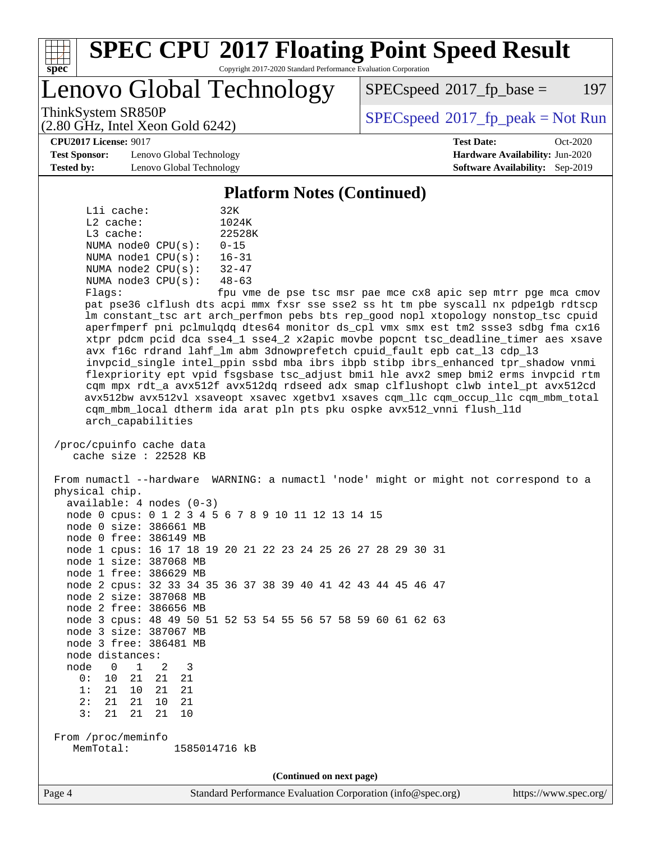

# **[SPEC CPU](http://www.spec.org/auto/cpu2017/Docs/result-fields.html#SPECCPU2017FloatingPointSpeedResult)[2017 Floating Point Speed Result](http://www.spec.org/auto/cpu2017/Docs/result-fields.html#SPECCPU2017FloatingPointSpeedResult)**

Copyright 2017-2020 Standard Performance Evaluation Corporation

Lenovo Global Technology

 $SPEC speed^{\circ}2017\_fp\_base = 197$ 

(2.80 GHz, Intel Xeon Gold 6242)

ThinkSystem SR850P<br>  $\begin{array}{c}\n\text{SPEC speed} \text{°2017\_fp\_peak} = \text{Not Run} \\
\text{SPEC speed} \text{°2017\_fp\_peak} = \text{Not Run} \\
\end{array}$ 

**[CPU2017 License:](http://www.spec.org/auto/cpu2017/Docs/result-fields.html#CPU2017License)** 9017 **[Test Date:](http://www.spec.org/auto/cpu2017/Docs/result-fields.html#TestDate)** Oct-2020

**[Test Sponsor:](http://www.spec.org/auto/cpu2017/Docs/result-fields.html#TestSponsor)** Lenovo Global Technology **[Hardware Availability:](http://www.spec.org/auto/cpu2017/Docs/result-fields.html#HardwareAvailability)** Jun-2020 **[Tested by:](http://www.spec.org/auto/cpu2017/Docs/result-fields.html#Testedby)** Lenovo Global Technology **[Software Availability:](http://www.spec.org/auto/cpu2017/Docs/result-fields.html#SoftwareAvailability)** Sep-2019

**[Platform Notes \(Continued\)](http://www.spec.org/auto/cpu2017/Docs/result-fields.html#PlatformNotes)**

|             | Lli cache: |                         | 32K                        |  |
|-------------|------------|-------------------------|----------------------------|--|
| $L2$ cache: |            |                         | 1024K                      |  |
| $L3$ cache: |            |                         | 22528K                     |  |
|             |            | NUMA $node0$ $CPU(s)$ : | $0 - 15$                   |  |
|             |            | NUMA nodel CPU(s):      | $16 - 31$                  |  |
|             |            | NUMA $node2$ $CPU(s)$ : | $32 - 47$                  |  |
|             |            | NUMA $node3$ $CPU(s)$ : | $48 - 63$                  |  |
| F1200       |            |                         | $f_{\text{min}}$ $\tau$ me |  |

Flags: fpu vme de pse tsc msr pae mce cx8 apic sep mtrr pge mca cmov pat pse36 clflush dts acpi mmx fxsr sse sse2 ss ht tm pbe syscall nx pdpe1gb rdtscp lm constant\_tsc art arch\_perfmon pebs bts rep\_good nopl xtopology nonstop\_tsc cpuid aperfmperf pni pclmulqdq dtes64 monitor ds\_cpl vmx smx est tm2 ssse3 sdbg fma cx16 xtpr pdcm pcid dca sse4\_1 sse4\_2 x2apic movbe popcnt tsc\_deadline\_timer aes xsave avx f16c rdrand lahf\_lm abm 3dnowprefetch cpuid\_fault epb cat\_l3 cdp\_l3 invpcid\_single intel\_ppin ssbd mba ibrs ibpb stibp ibrs\_enhanced tpr\_shadow vnmi flexpriority ept vpid fsgsbase tsc\_adjust bmi1 hle avx2 smep bmi2 erms invpcid rtm cqm mpx rdt\_a avx512f avx512dq rdseed adx smap clflushopt clwb intel\_pt avx512cd avx512bw avx512vl xsaveopt xsavec xgetbv1 xsaves cqm\_llc cqm\_occup\_llc cqm\_mbm\_total cqm\_mbm\_local dtherm ida arat pln pts pku ospke avx512\_vnni flush\_l1d arch\_capabilities

 /proc/cpuinfo cache data cache size : 22528 KB

 From numactl --hardware WARNING: a numactl 'node' might or might not correspond to a physical chip. available: 4 nodes (0-3) node 0 cpus: 0 1 2 3 4 5 6 7 8 9 10 11 12 13 14 15 node 0 size: 386661 MB

node 0 free: 386149 MB

 node 1 cpus: 16 17 18 19 20 21 22 23 24 25 26 27 28 29 30 31 node 1 size: 387068 MB

 node 1 free: 386629 MB node 2 cpus: 32 33 34 35 36 37 38 39 40 41 42 43 44 45 46 47 node 2 size: 387068 MB

 node 2 free: 386656 MB node 3 cpus: 48 49 50 51 52 53 54 55 56 57 58 59 60 61 62 63

 node 3 size: 387067 MB node 3 free: 386481 MB

node distances:

 node 0 1 2 3 0: 10 21 21 21

 1: 21 10 21 21 2: 21 21 10 21

3: 21 21 21 10

 From /proc/meminfo MemTotal: 1585014716 kB

**(Continued on next page)**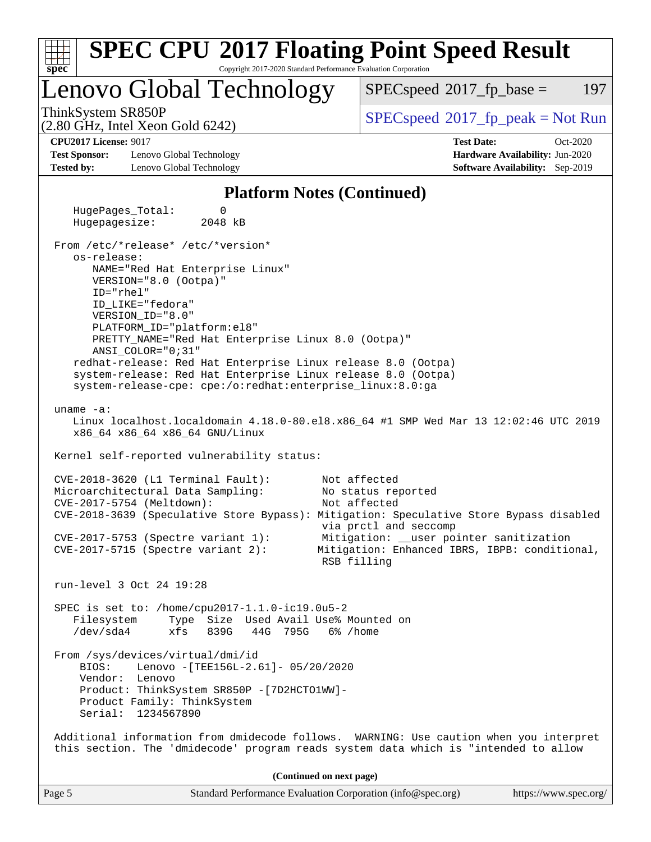| <b>SPEC CPU®2017 Floating Point Speed Result</b><br>spec<br>Copyright 2017-2020 Standard Performance Evaluation Corporation                                                   |                                                                                                         |
|-------------------------------------------------------------------------------------------------------------------------------------------------------------------------------|---------------------------------------------------------------------------------------------------------|
| Lenovo Global Technology                                                                                                                                                      | 197<br>$SPEC speed^{\circ}2017$ _fp_base =                                                              |
| ThinkSystem SR850P<br>$(2.80 \text{ GHz}, \text{Intel Xeon Gold } 6242)$                                                                                                      | $SPEC speed^{\circ}2017\_fp\_peak = Not Run$                                                            |
| <b>CPU2017 License: 9017</b>                                                                                                                                                  | <b>Test Date:</b><br>Oct-2020                                                                           |
| <b>Test Sponsor:</b><br>Lenovo Global Technology                                                                                                                              | Hardware Availability: Jun-2020                                                                         |
| <b>Tested by:</b><br>Lenovo Global Technology                                                                                                                                 | Software Availability: Sep-2019                                                                         |
| <b>Platform Notes (Continued)</b>                                                                                                                                             |                                                                                                         |
| HugePages_Total:<br>0<br>Hugepagesize:<br>2048 kB                                                                                                                             |                                                                                                         |
| From /etc/*release* /etc/*version*<br>os-release:                                                                                                                             |                                                                                                         |
| NAME="Red Hat Enterprise Linux"<br>VERSION="8.0 (Ootpa)"                                                                                                                      |                                                                                                         |
| ID="rhel"<br>ID_LIKE="fedora"<br>VERSION_ID="8.0"                                                                                                                             |                                                                                                         |
| PLATFORM_ID="platform:el8"<br>PRETTY_NAME="Red Hat Enterprise Linux 8.0 (Ootpa)"                                                                                              |                                                                                                         |
| ANSI_COLOR="0;31"<br>redhat-release: Red Hat Enterprise Linux release 8.0 (Ootpa)<br>system-release: Red Hat Enterprise Linux release 8.0 (Ootpa)                             |                                                                                                         |
| system-release-cpe: cpe:/o:redhat:enterprise_linux:8.0:ga<br>uname $-a$ :                                                                                                     |                                                                                                         |
| x86_64 x86_64 x86_64 GNU/Linux                                                                                                                                                | Linux localhost.localdomain 4.18.0-80.el8.x86_64 #1 SMP Wed Mar 13 12:02:46 UTC 2019                    |
| Kernel self-reported vulnerability status:                                                                                                                                    |                                                                                                         |
| CVE-2018-3620 (L1 Terminal Fault):<br>Microarchitectural Data Sampling:                                                                                                       | Not affected<br>No status reported                                                                      |
| CVE-2017-5754 (Meltdown):<br>CVE-2018-3639 (Speculative Store Bypass): Mitigation: Speculative Store Bypass disabled                                                          | Not affected<br>via prctl and seccomp                                                                   |
| $CVE-2017-5753$ (Spectre variant 1):<br>$CVE-2017-5715$ (Spectre variant 2):                                                                                                  | Mitigation: __user pointer sanitization<br>Mitigation: Enhanced IBRS, IBPB: conditional,<br>RSB filling |
| run-level 3 Oct 24 19:28                                                                                                                                                      |                                                                                                         |
| SPEC is set to: /home/cpu2017-1.1.0-ic19.0u5-2<br>Type Size Used Avail Use% Mounted on<br>Filesystem<br>$/\text{dev/sda4}$<br>839G<br>44G<br>795G<br>xfs                      | 6% /home                                                                                                |
| From /sys/devices/virtual/dmi/id<br>BIOS:<br>Lenovo - [TEE156L-2.61]- 05/20/2020<br>Vendor: Lenovo                                                                            |                                                                                                         |
| Product: ThinkSystem SR850P - [7D2HCTO1WW]-<br>Product Family: ThinkSystem<br>Serial: 1234567890                                                                              |                                                                                                         |
| Additional information from dmidecode follows. WARNING: Use caution when you interpret<br>this section. The 'dmidecode' program reads system data which is "intended to allow |                                                                                                         |
| (Continued on next page)                                                                                                                                                      |                                                                                                         |
| Page 5<br>Standard Performance Evaluation Corporation (info@spec.org)                                                                                                         | https://www.spec.org/                                                                                   |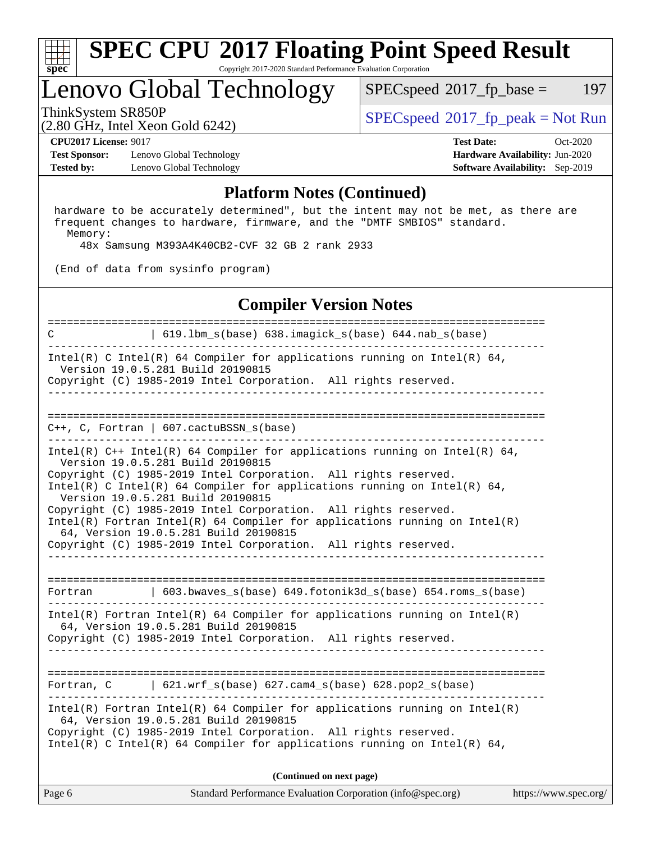

#### **[SPEC CPU](http://www.spec.org/auto/cpu2017/Docs/result-fields.html#SPECCPU2017FloatingPointSpeedResult)[2017 Floating Point Speed Result](http://www.spec.org/auto/cpu2017/Docs/result-fields.html#SPECCPU2017FloatingPointSpeedResult)** Copyright 2017-2020 Standard Performance Evaluation Corporation

## Lenovo Global Technology

 $SPECspeed^{\circledcirc}2017_fp\_base = 197$  $SPECspeed^{\circledcirc}2017_fp\_base = 197$ 

ThinkSystem SR850P<br>  $\begin{array}{c}\n\text{SPEC speed} \text{?}2017 \text{ fp\_peak} = \text{Not Run} \\
\text{SPEC speed} \text{?}2017 \text{ fp\_peak} = \text{Not Run} \\
\end{array}$ 

**[Test Sponsor:](http://www.spec.org/auto/cpu2017/Docs/result-fields.html#TestSponsor)** Lenovo Global Technology **[Hardware Availability:](http://www.spec.org/auto/cpu2017/Docs/result-fields.html#HardwareAvailability)** Jun-2020 **[Tested by:](http://www.spec.org/auto/cpu2017/Docs/result-fields.html#Testedby)** Lenovo Global Technology **[Software Availability:](http://www.spec.org/auto/cpu2017/Docs/result-fields.html#SoftwareAvailability)** Sep-2019

(2.80 GHz, Intel Xeon Gold 6242)

**[CPU2017 License:](http://www.spec.org/auto/cpu2017/Docs/result-fields.html#CPU2017License)** 9017 **[Test Date:](http://www.spec.org/auto/cpu2017/Docs/result-fields.html#TestDate)** Oct-2020

#### **[Platform Notes \(Continued\)](http://www.spec.org/auto/cpu2017/Docs/result-fields.html#PlatformNotes)**

 hardware to be accurately determined", but the intent may not be met, as there are frequent changes to hardware, firmware, and the "DMTF SMBIOS" standard. Memory:

48x Samsung M393A4K40CB2-CVF 32 GB 2 rank 2933

(End of data from sysinfo program)

#### **[Compiler Version Notes](http://www.spec.org/auto/cpu2017/Docs/result-fields.html#CompilerVersionNotes)**

Page 6 Standard Performance Evaluation Corporation [\(info@spec.org\)](mailto:info@spec.org) <https://www.spec.org/> ============================================================================== C | 619.lbm\_s(base) 638.imagick\_s(base) 644.nab\_s(base) ------------------------------------------------------------------------------ Intel(R) C Intel(R) 64 Compiler for applications running on Intel(R)  $64$ , Version 19.0.5.281 Build 20190815 Copyright (C) 1985-2019 Intel Corporation. All rights reserved. ------------------------------------------------------------------------------ ============================================================================== C++, C, Fortran | 607.cactuBSSN\_s(base) ------------------------------------------------------------------------------ Intel(R)  $C++$  Intel(R) 64 Compiler for applications running on Intel(R) 64, Version 19.0.5.281 Build 20190815 Copyright (C) 1985-2019 Intel Corporation. All rights reserved. Intel(R) C Intel(R) 64 Compiler for applications running on Intel(R)  $64$ , Version 19.0.5.281 Build 20190815 Copyright (C) 1985-2019 Intel Corporation. All rights reserved. Intel(R) Fortran Intel(R) 64 Compiler for applications running on Intel(R) 64, Version 19.0.5.281 Build 20190815 Copyright (C) 1985-2019 Intel Corporation. All rights reserved. ------------------------------------------------------------------------------ ============================================================================== Fortran | 603.bwaves\_s(base) 649.fotonik3d\_s(base) 654.roms\_s(base) ------------------------------------------------------------------------------ Intel(R) Fortran Intel(R) 64 Compiler for applications running on Intel(R) 64, Version 19.0.5.281 Build 20190815 Copyright (C) 1985-2019 Intel Corporation. All rights reserved. ------------------------------------------------------------------------------ ============================================================================== Fortran, C | 621.wrf\_s(base) 627.cam4\_s(base) 628.pop2\_s(base) ------------------------------------------------------------------------------ Intel(R) Fortran Intel(R) 64 Compiler for applications running on Intel(R) 64, Version 19.0.5.281 Build 20190815 Copyright (C) 1985-2019 Intel Corporation. All rights reserved. Intel(R) C Intel(R) 64 Compiler for applications running on Intel(R)  $64$ , **(Continued on next page)**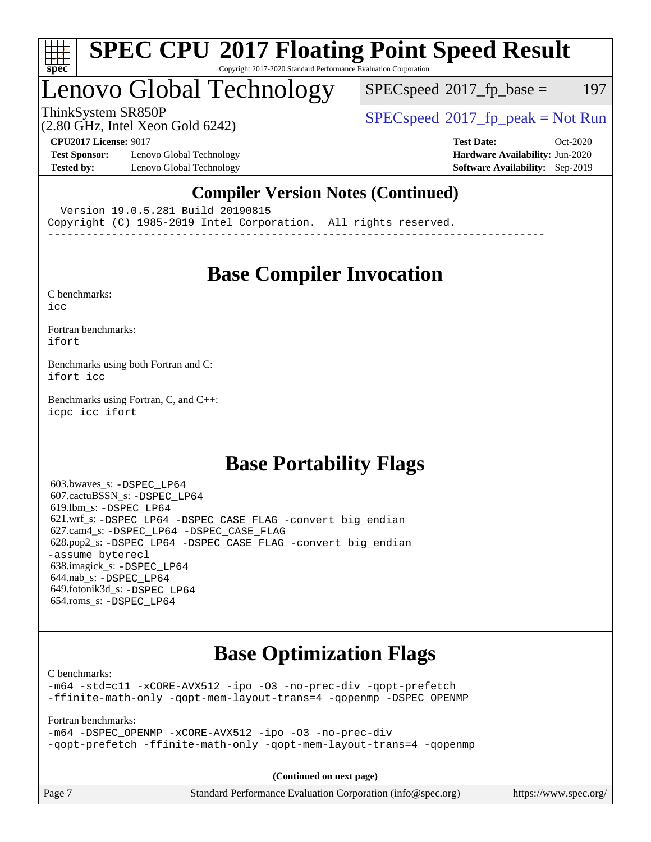

#### **[SPEC CPU](http://www.spec.org/auto/cpu2017/Docs/result-fields.html#SPECCPU2017FloatingPointSpeedResult)[2017 Floating Point Speed Result](http://www.spec.org/auto/cpu2017/Docs/result-fields.html#SPECCPU2017FloatingPointSpeedResult)** Copyright 2017-2020 Standard Performance Evaluation Corporation

## Lenovo Global Technology

 $SPECspeed^{\circledcirc}2017_fp\_base = 197$  $SPECspeed^{\circledcirc}2017_fp\_base = 197$ 

ThinkSystem SR850P<br>  $SPEC speed^{\circ}2017$  [p\_peak = Not Run

## (2.80 GHz, Intel Xeon Gold 6242)

**[Test Sponsor:](http://www.spec.org/auto/cpu2017/Docs/result-fields.html#TestSponsor)** Lenovo Global Technology **[Hardware Availability:](http://www.spec.org/auto/cpu2017/Docs/result-fields.html#HardwareAvailability)** Jun-2020 **[Tested by:](http://www.spec.org/auto/cpu2017/Docs/result-fields.html#Testedby)** Lenovo Global Technology **[Software Availability:](http://www.spec.org/auto/cpu2017/Docs/result-fields.html#SoftwareAvailability)** Sep-2019

**[CPU2017 License:](http://www.spec.org/auto/cpu2017/Docs/result-fields.html#CPU2017License)** 9017 **[Test Date:](http://www.spec.org/auto/cpu2017/Docs/result-fields.html#TestDate)** Oct-2020

### **[Compiler Version Notes \(Continued\)](http://www.spec.org/auto/cpu2017/Docs/result-fields.html#CompilerVersionNotes)**

Version 19.0.5.281 Build 20190815

Copyright (C) 1985-2019 Intel Corporation. All rights reserved.

------------------------------------------------------------------------------

## **[Base Compiler Invocation](http://www.spec.org/auto/cpu2017/Docs/result-fields.html#BaseCompilerInvocation)**

[C benchmarks](http://www.spec.org/auto/cpu2017/Docs/result-fields.html#Cbenchmarks): [icc](http://www.spec.org/cpu2017/results/res2020q4/cpu2017-20201026-24283.flags.html#user_CCbase_intel_icc_66fc1ee009f7361af1fbd72ca7dcefbb700085f36577c54f309893dd4ec40d12360134090235512931783d35fd58c0460139e722d5067c5574d8eaf2b3e37e92)

[Fortran benchmarks](http://www.spec.org/auto/cpu2017/Docs/result-fields.html#Fortranbenchmarks): [ifort](http://www.spec.org/cpu2017/results/res2020q4/cpu2017-20201026-24283.flags.html#user_FCbase_intel_ifort_8111460550e3ca792625aed983ce982f94888b8b503583aa7ba2b8303487b4d8a21a13e7191a45c5fd58ff318f48f9492884d4413fa793fd88dd292cad7027ca)

[Benchmarks using both Fortran and C](http://www.spec.org/auto/cpu2017/Docs/result-fields.html#BenchmarksusingbothFortranandC): [ifort](http://www.spec.org/cpu2017/results/res2020q4/cpu2017-20201026-24283.flags.html#user_CC_FCbase_intel_ifort_8111460550e3ca792625aed983ce982f94888b8b503583aa7ba2b8303487b4d8a21a13e7191a45c5fd58ff318f48f9492884d4413fa793fd88dd292cad7027ca) [icc](http://www.spec.org/cpu2017/results/res2020q4/cpu2017-20201026-24283.flags.html#user_CC_FCbase_intel_icc_66fc1ee009f7361af1fbd72ca7dcefbb700085f36577c54f309893dd4ec40d12360134090235512931783d35fd58c0460139e722d5067c5574d8eaf2b3e37e92)

[Benchmarks using Fortran, C, and C++:](http://www.spec.org/auto/cpu2017/Docs/result-fields.html#BenchmarksusingFortranCandCXX) [icpc](http://www.spec.org/cpu2017/results/res2020q4/cpu2017-20201026-24283.flags.html#user_CC_CXX_FCbase_intel_icpc_c510b6838c7f56d33e37e94d029a35b4a7bccf4766a728ee175e80a419847e808290a9b78be685c44ab727ea267ec2f070ec5dc83b407c0218cded6866a35d07) [icc](http://www.spec.org/cpu2017/results/res2020q4/cpu2017-20201026-24283.flags.html#user_CC_CXX_FCbase_intel_icc_66fc1ee009f7361af1fbd72ca7dcefbb700085f36577c54f309893dd4ec40d12360134090235512931783d35fd58c0460139e722d5067c5574d8eaf2b3e37e92) [ifort](http://www.spec.org/cpu2017/results/res2020q4/cpu2017-20201026-24283.flags.html#user_CC_CXX_FCbase_intel_ifort_8111460550e3ca792625aed983ce982f94888b8b503583aa7ba2b8303487b4d8a21a13e7191a45c5fd58ff318f48f9492884d4413fa793fd88dd292cad7027ca)

## **[Base Portability Flags](http://www.spec.org/auto/cpu2017/Docs/result-fields.html#BasePortabilityFlags)**

 603.bwaves\_s: [-DSPEC\\_LP64](http://www.spec.org/cpu2017/results/res2020q4/cpu2017-20201026-24283.flags.html#suite_basePORTABILITY603_bwaves_s_DSPEC_LP64) 607.cactuBSSN\_s: [-DSPEC\\_LP64](http://www.spec.org/cpu2017/results/res2020q4/cpu2017-20201026-24283.flags.html#suite_basePORTABILITY607_cactuBSSN_s_DSPEC_LP64) 619.lbm\_s: [-DSPEC\\_LP64](http://www.spec.org/cpu2017/results/res2020q4/cpu2017-20201026-24283.flags.html#suite_basePORTABILITY619_lbm_s_DSPEC_LP64) 621.wrf\_s: [-DSPEC\\_LP64](http://www.spec.org/cpu2017/results/res2020q4/cpu2017-20201026-24283.flags.html#suite_basePORTABILITY621_wrf_s_DSPEC_LP64) [-DSPEC\\_CASE\\_FLAG](http://www.spec.org/cpu2017/results/res2020q4/cpu2017-20201026-24283.flags.html#b621.wrf_s_baseCPORTABILITY_DSPEC_CASE_FLAG) [-convert big\\_endian](http://www.spec.org/cpu2017/results/res2020q4/cpu2017-20201026-24283.flags.html#user_baseFPORTABILITY621_wrf_s_convert_big_endian_c3194028bc08c63ac5d04de18c48ce6d347e4e562e8892b8bdbdc0214820426deb8554edfa529a3fb25a586e65a3d812c835984020483e7e73212c4d31a38223) 627.cam4\_s: [-DSPEC\\_LP64](http://www.spec.org/cpu2017/results/res2020q4/cpu2017-20201026-24283.flags.html#suite_basePORTABILITY627_cam4_s_DSPEC_LP64) [-DSPEC\\_CASE\\_FLAG](http://www.spec.org/cpu2017/results/res2020q4/cpu2017-20201026-24283.flags.html#b627.cam4_s_baseCPORTABILITY_DSPEC_CASE_FLAG) 628.pop2\_s: [-DSPEC\\_LP64](http://www.spec.org/cpu2017/results/res2020q4/cpu2017-20201026-24283.flags.html#suite_basePORTABILITY628_pop2_s_DSPEC_LP64) [-DSPEC\\_CASE\\_FLAG](http://www.spec.org/cpu2017/results/res2020q4/cpu2017-20201026-24283.flags.html#b628.pop2_s_baseCPORTABILITY_DSPEC_CASE_FLAG) [-convert big\\_endian](http://www.spec.org/cpu2017/results/res2020q4/cpu2017-20201026-24283.flags.html#user_baseFPORTABILITY628_pop2_s_convert_big_endian_c3194028bc08c63ac5d04de18c48ce6d347e4e562e8892b8bdbdc0214820426deb8554edfa529a3fb25a586e65a3d812c835984020483e7e73212c4d31a38223) [-assume byterecl](http://www.spec.org/cpu2017/results/res2020q4/cpu2017-20201026-24283.flags.html#user_baseFPORTABILITY628_pop2_s_assume_byterecl_7e47d18b9513cf18525430bbf0f2177aa9bf368bc7a059c09b2c06a34b53bd3447c950d3f8d6c70e3faf3a05c8557d66a5798b567902e8849adc142926523472) 638.imagick\_s: [-DSPEC\\_LP64](http://www.spec.org/cpu2017/results/res2020q4/cpu2017-20201026-24283.flags.html#suite_basePORTABILITY638_imagick_s_DSPEC_LP64) 644.nab\_s: [-DSPEC\\_LP64](http://www.spec.org/cpu2017/results/res2020q4/cpu2017-20201026-24283.flags.html#suite_basePORTABILITY644_nab_s_DSPEC_LP64) 649.fotonik3d\_s: [-DSPEC\\_LP64](http://www.spec.org/cpu2017/results/res2020q4/cpu2017-20201026-24283.flags.html#suite_basePORTABILITY649_fotonik3d_s_DSPEC_LP64) 654.roms\_s: [-DSPEC\\_LP64](http://www.spec.org/cpu2017/results/res2020q4/cpu2017-20201026-24283.flags.html#suite_basePORTABILITY654_roms_s_DSPEC_LP64)

## **[Base Optimization Flags](http://www.spec.org/auto/cpu2017/Docs/result-fields.html#BaseOptimizationFlags)**

[C benchmarks](http://www.spec.org/auto/cpu2017/Docs/result-fields.html#Cbenchmarks):

[-m64](http://www.spec.org/cpu2017/results/res2020q4/cpu2017-20201026-24283.flags.html#user_CCbase_m64-icc) [-std=c11](http://www.spec.org/cpu2017/results/res2020q4/cpu2017-20201026-24283.flags.html#user_CCbase_std-icc-std_0e1c27790398a4642dfca32ffe6c27b5796f9c2d2676156f2e42c9c44eaad0c049b1cdb667a270c34d979996257aeb8fc440bfb01818dbc9357bd9d174cb8524) [-xCORE-AVX512](http://www.spec.org/cpu2017/results/res2020q4/cpu2017-20201026-24283.flags.html#user_CCbase_f-xCORE-AVX512) [-ipo](http://www.spec.org/cpu2017/results/res2020q4/cpu2017-20201026-24283.flags.html#user_CCbase_f-ipo) [-O3](http://www.spec.org/cpu2017/results/res2020q4/cpu2017-20201026-24283.flags.html#user_CCbase_f-O3) [-no-prec-div](http://www.spec.org/cpu2017/results/res2020q4/cpu2017-20201026-24283.flags.html#user_CCbase_f-no-prec-div) [-qopt-prefetch](http://www.spec.org/cpu2017/results/res2020q4/cpu2017-20201026-24283.flags.html#user_CCbase_f-qopt-prefetch) [-ffinite-math-only](http://www.spec.org/cpu2017/results/res2020q4/cpu2017-20201026-24283.flags.html#user_CCbase_f_finite_math_only_cb91587bd2077682c4b38af759c288ed7c732db004271a9512da14a4f8007909a5f1427ecbf1a0fb78ff2a814402c6114ac565ca162485bbcae155b5e4258871) [-qopt-mem-layout-trans=4](http://www.spec.org/cpu2017/results/res2020q4/cpu2017-20201026-24283.flags.html#user_CCbase_f-qopt-mem-layout-trans_fa39e755916c150a61361b7846f310bcdf6f04e385ef281cadf3647acec3f0ae266d1a1d22d972a7087a248fd4e6ca390a3634700869573d231a252c784941a8) [-qopenmp](http://www.spec.org/cpu2017/results/res2020q4/cpu2017-20201026-24283.flags.html#user_CCbase_qopenmp_16be0c44f24f464004c6784a7acb94aca937f053568ce72f94b139a11c7c168634a55f6653758ddd83bcf7b8463e8028bb0b48b77bcddc6b78d5d95bb1df2967) [-DSPEC\\_OPENMP](http://www.spec.org/cpu2017/results/res2020q4/cpu2017-20201026-24283.flags.html#suite_CCbase_DSPEC_OPENMP)

[Fortran benchmarks](http://www.spec.org/auto/cpu2017/Docs/result-fields.html#Fortranbenchmarks):

[-m64](http://www.spec.org/cpu2017/results/res2020q4/cpu2017-20201026-24283.flags.html#user_FCbase_m64-icc) [-DSPEC\\_OPENMP](http://www.spec.org/cpu2017/results/res2020q4/cpu2017-20201026-24283.flags.html#suite_FCbase_DSPEC_OPENMP) [-xCORE-AVX512](http://www.spec.org/cpu2017/results/res2020q4/cpu2017-20201026-24283.flags.html#user_FCbase_f-xCORE-AVX512) [-ipo](http://www.spec.org/cpu2017/results/res2020q4/cpu2017-20201026-24283.flags.html#user_FCbase_f-ipo) [-O3](http://www.spec.org/cpu2017/results/res2020q4/cpu2017-20201026-24283.flags.html#user_FCbase_f-O3) [-no-prec-div](http://www.spec.org/cpu2017/results/res2020q4/cpu2017-20201026-24283.flags.html#user_FCbase_f-no-prec-div) [-qopt-prefetch](http://www.spec.org/cpu2017/results/res2020q4/cpu2017-20201026-24283.flags.html#user_FCbase_f-qopt-prefetch) [-ffinite-math-only](http://www.spec.org/cpu2017/results/res2020q4/cpu2017-20201026-24283.flags.html#user_FCbase_f_finite_math_only_cb91587bd2077682c4b38af759c288ed7c732db004271a9512da14a4f8007909a5f1427ecbf1a0fb78ff2a814402c6114ac565ca162485bbcae155b5e4258871) [-qopt-mem-layout-trans=4](http://www.spec.org/cpu2017/results/res2020q4/cpu2017-20201026-24283.flags.html#user_FCbase_f-qopt-mem-layout-trans_fa39e755916c150a61361b7846f310bcdf6f04e385ef281cadf3647acec3f0ae266d1a1d22d972a7087a248fd4e6ca390a3634700869573d231a252c784941a8) [-qopenmp](http://www.spec.org/cpu2017/results/res2020q4/cpu2017-20201026-24283.flags.html#user_FCbase_qopenmp_16be0c44f24f464004c6784a7acb94aca937f053568ce72f94b139a11c7c168634a55f6653758ddd83bcf7b8463e8028bb0b48b77bcddc6b78d5d95bb1df2967)

**(Continued on next page)**

| Page 7 | Standard Performance Evaluation Corporation (info@spec.org) | https://www.spec.org/ |
|--------|-------------------------------------------------------------|-----------------------|
|--------|-------------------------------------------------------------|-----------------------|